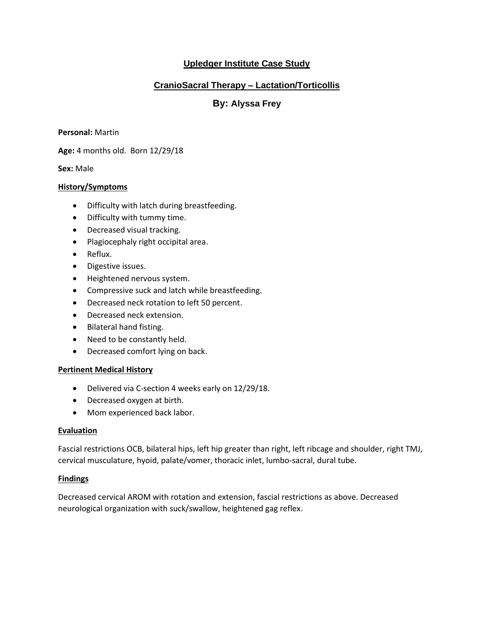# **Upledger Institute Case Study**

# **CranioSacral Therapy – Lactation/Torticollis**

# **By: Alyssa Frey**

#### **Personal:** Martin

**Age:** 4 months old. Born 12/29/18

#### **Sex:** Male

#### **History/Symptoms**

- Difficulty with latch during breastfeeding.
- Difficulty with tummy time.
- Decreased visual tracking.
- Plagiocephaly right occipital area.
- Reflux.
- Digestive issues.
- Heightened nervous system.
- Compressive suck and latch while breastfeeding.
- Decreased neck rotation to left 50 percent.
- Decreased neck extension.
- Bilateral hand fisting.
- Need to be constantly held.
- Decreased comfort lying on back.

#### **Pertinent Medical History**

- Delivered via C-section 4 weeks early on 12/29/18.
- Decreased oxygen at birth.
- Mom experienced back labor.

#### **Evaluation**

Fascial restrictions OCB, bilateral hips, left hip greater than right, left ribcage and shoulder, right TMJ, cervical musculature, hyoid, palate/vomer, thoracic inlet, lumbo-sacral, dural tube.

#### **Findings**

Decreased cervical AROM with rotation and extension, fascial restrictions as above. Decreased neurological organization with suck/swallow, heightened gag reflex.